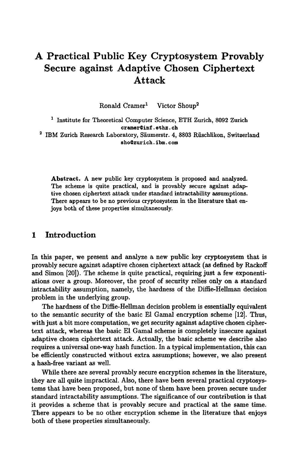# **A Practical Public Key Cryptosystem Provably Secure against Adaptive Chosen Ciphertext Attack**

Ronald Cramer<sup>1</sup> Victor Shoup<sup>2</sup>

<sup>1</sup> Institute for Theoretical Computer Science, ETH Zurich, 8092 Zurich cramer@inf.ethz.ch

<sup>2</sup> IBM Zurich Research Laboratory, Säumerstr. 4, 8803 Rüschlikon, Switzerland  $sho@zurich.$ ibm.com

**Abstract.** A new public key cryptosystem is proposed and analyzed. The scheme is quite practical, and is provably secure against adaptive chosen ciphertext attack under standard intractability assumptions. There appears to be no previous cryptosystem in the literature that enjoys both of these properties simultaneously.

# **1 Introduction**

In this paper, we present and analyze a new public key cryptosystem that is provably secure against adaptive chosen ciphertext attack (as defined by Rackoff and Simon [20]). The scheme is quite practical, requiring just a few exponentiations over a group. Moreover, the proof of security relies only on a standard intractability assumption, namely, the hardness of the Diffie-Hellman decision problem in the underlying group.

The hardness of the Diffie-Hellman decision problem is essentially equivalent to the semantic security of the basic E1 Gamal encryption scheme [12]. Thus, with just a bit more computation, we get security against adaptive chosen ciphertext attack, whereas the basic E1 Gamal scheme is completely insecure against adaptive chosen ciphertext attack. Actually, the basic scheme we describe also requires a universal one-way hash function. In a typical implementation, this can be efficiently constructed without extra assumptions; however, we also present a hash-free variant as well.

While there are several provably secure encryption schemes in the literature, they are all quite impractical. Also, there have been several practical cryptosystems that have been proposed, but none of them have been proven secure under standard intractability assumptions. The significance of our contribution is that it provides a scheme that is provably secure and practical at the same time. There appears to be no other encryption scheme in the literature that enjoys both of these properties simultaneously.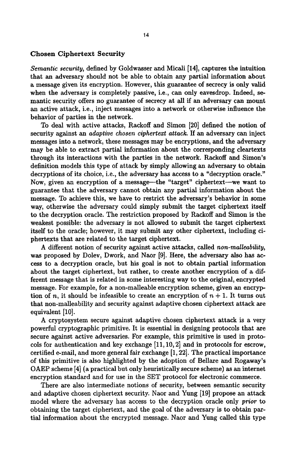## Chosen Ciphertext Security

*Semantic security,* defined by Goldwasser and Micali [14], captures the intuition that an adversary should not be able to obtain any partial information about a message given its encryption. However, this guarantee of secrecy is only valid when the adversary is completely passive, i.e., can only eavesdrop. Indeed, semantic security offers no guarantee of secrecy at all if an adversary can mount an active attack, i.e., inject messages into a network or otherwise influence the behavior of parties in the network.

To deal with active attacks, Rackoff and Simon [20] defined the notion of security against an *adaptive chosen ciphertezt attack.* If an adversary can inject messages into a network, these messages maybe encryptions, and the adversary may be able to extract partial information about the corresponding cleartexts through its interactions with the parties in the network. Rackoff and Simon's definition models this type of attack by simply allowing an adversary to obtain decryptions of its choice, i.e., the adversary has access to a "decryption oracle." Now, given an encryption of a message—the "target" ciphertext—we want to guarantee that the adversary cannot obtain any partial information about the message. To achieve this, we have to restrict the adversary's behavior in some way, otherwise the adversary could simply submit the target ciphertext itself to the decryption oracle. The restriction proposed by Rackoff and Simon is the weakest possible: the adversary is not allowed to submit the target ciphertext itself to the oracle; however, it may submit any other ciphertext, including ciphertexts that are related to the target ciphertext.

A different notion of security against active attacks, called *non-malleability,*  was proposed by Dolev, Dwork, and Naor [9]. Here, the adversary also has access to a decryption oracle, but his goal is not to obtain partial information about the target ciphertext, but rather, to create another encryption of a different message that is related in some interesting way to the original, encrypted message. For example, for a non-malleable encryption scheme, given an encryption of n, it should be infeasible to create an encryption of  $n + 1$ . It turns out that non-malleability and security against adaptive chosen ciphertext attack are equivalent [10].

A cryptosystem secure against adaptive chosen ciphertext attack is a very powerful cryptographic primitive. It is essential in designing protocols that are secure against active adversaries. For example, this primitive is used in protocols for authentication and key exchange [11,10, 2] and in protocols for escrow, certified e-mail, and more general fair exchange  $[1, 22]$ . The practical importance of this primitive is also highlighted by the adoption of Bellare and Rogaway's OAEP scheme [4] (a practical but only heuristically secure scheme) as an internet encryption standard and for use in the SET protocol for electronic commerce.

There are also intermediate notions of security, between semantic security and adaptive chosen ciphertext security. Naor and Yung [19] propose an attack model where the adversary has access to the decryption oracle only *prior* to obtaining the target ciphertext, and the goal of the adversary is to obtain partial information about the encrypted message. Naor and Yung called this type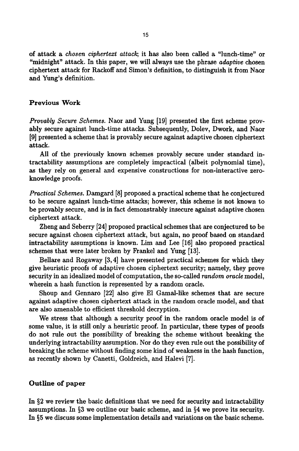of attack a *chosen ciphertext attaclz,,* it has also been called a "lunch-time" or "midnight" attack. In this paper, we will always use the phrase *adaptive* chosen ciphertext attack for Rackoff and Simon's definition, to distinguish it from Naor and Yung's definition.

## **Previous Work**

*Provably Secure Schemes.* Naor and Yung [19] presented the first scheme provably secure against lunch-time attacks. Subsequently, Dolev, Dwork, and Naor [9] presented a scheme that is provably secure against adaptive chosen ciphertext attack.

All of the previously known schemes provably secure under standard intractability assumptions are completely impractical (albeit polynomial time), as they rely on general and expensive constructions for non-interactive zeroknowledge proofs.

*Practical Schemes.* Damgard [8] proposed a practical scheme that he conjectured to be secure against lunch-time attacks; however, this scheme is not known to be provably secure, and is in fact demonstrably insecure against adaptive chosen ciphertext attack.

Zheng and Seberry [24] proposed practical schemes that are conjectured to be secure against chosen ciphertext attack, but again, no proof based on standard intractability assumptions is known. Lira and Lee [16] also proposed practical schemes that were later broken by Frankel and Yung [13].

Bellare and Rogaway [3, 4] have presented practical schemes for which they give heuristic proofs of adaptive chosen ciphertext security; namely, they prove security in an idealized model of computation, the so-called *random oracle* model, wherein a hash function is represented by a random oracle.

Shoup and Gennaro [22] also give E1 Gamal-like schemes that are secure against adaptive chosen ciphertext attack in the random oracle model, and that are also amenable to efficient threshold decryption.

We stress that although a security proof in the random oracle model is of some value, it is still only a heuristic proof. In particular, these types of proofs do not rule out the possibility of breaking the scheme without breaking the underlying intractability assumption. Nor do they even rule out the possibility of breaking the scheme without finding some kind of weakness in the hash function, as recently shown by Canetti, Goldreich, and Halevi [7].

## **Outline of paper**

In  $\S2$  we review the basic definitions that we need for security and intractability assumptions. In §3 we outline our basic scheme, and in  $§4$  we prove its security. In §5 we discuss some implementation details and variations on the basic scheme.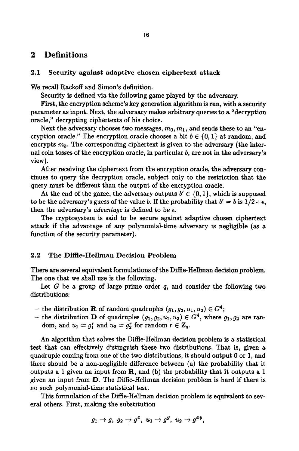## **2 Definitions**

#### **2.1 Security against adaptive chosen ciphertext attack**

We recall Rackoff and Simon's definition.

Security is defined via the following game played by the adversary.

First, the encryption scheme's key generation algorithm is run, with a security parameter as input. Next, the adversary makes arbitrary queries to a "decryption oracle," decrypting ciphertexts of his choice.

Next the adversary chooses two messages,  $m_0, m_1$ , and sends these to an "encryption oracle." The encryption oracle chooses a bit  $b \in \{0, 1\}$  at random, and encrypts  $m_b$ . The corresponding ciphertext is given to the adversary (the internal coin tosses of the encryption oracle, in particular b, are not in the adversary's view).

After receiving the ciphertext from the encryption oracle, the adversary continues to query the decryption oracle, subject only to the restriction that the query must be different than the output of the encryption oracle.

At the end of the game, the adversary outputs  $b' \in \{0, 1\}$ , which is supposed to be the adversary's guess of the value b. If the probability that  $b' = b$  is  $1/2 + \epsilon$ , then the adversary's *advantage* is defined to be  $\epsilon$ .

The cryptosystem is said to be secure against adaptive chosen ciphertext attack if the advantage of any polynomial-time adversary is negligible (as a function of the security parameter).

### 2.2 The Diffie-Hellman Decision Problem

There are several equivalent formulations of the Diffie-Hellman decision problem. The one that we shall use is the following.

Let  $G$  be a group of large prime order  $q$ , and consider the following two distributions:

- the distribution **R** of random quadruples  $(g_1, g_2, u_1, u_2) \in G^4$ ;
- the distribution **D** of quadruples  $(g_1, g_2, u_1, u_2) \in G^4$ , where  $g_1, g_2$  are random, and  $u_1 = g_1^r$  and  $u_2 = g_2^r$  for random  $r \in \mathbb{Z}_q$ .

An algorithm that solves the Diffie-Hellman decision problem is a statistical test that can effectively distinguish these two distributions. That is, given a quadruple coming from one of the two distributions, it should output 0 or 1, and there should be a non-negligible difference between (a) the probability that it outputs a 1 given an input from  $\mathbf R$ , and (b) the probability that it outputs a 1 given an input from D. The Diffie-Hellman decision problem is hard if there is no such polynomial-time statistical test.

This formulation of the Diffie-Hellman decision problem is equivalent to several others. First, making the substitution

$$
g_1 \to g, \; g_2 \to g^x, \; u_1 \to g^y, \; u_2 \to g^{xy},
$$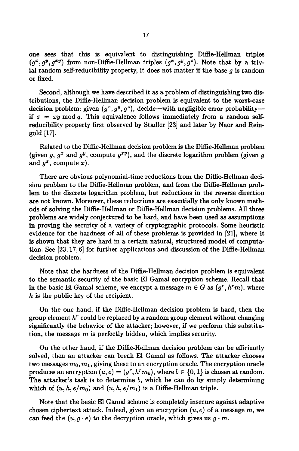one sees that this is equivalent to distinguishing Diffie-Hellman triples  $(g^x, g^y, g^{xy})$  from non-Diffie-Hellman triples  $(g^x, g^y, g^z)$ . Note that by a trivial random self-reducibility property, it does not matter if the base  $g$  is random or fixed.

Second, although we have described it as a problem of distinguishing two distributions, the Diffie-Hellman decision problem is equivalent to the worst-case decision problem: given  $(g^x, g^y, g^z)$ , decide--with negligible error probability-if  $z = xy \mod q$ . This equivalence follows immediately from a random selfreducibility property first observed by Stadler [23] and later by Naor and Reingold [17].

Related to the Diffie-Hellman decision problem is the Diffie-Hellman problem (given g,  $g^x$  and  $g^y$ , compute  $g^{xy}$ ), and the discrete logarithm problem (given g and  $q^x$ , compute x).

There are obvious polynomial-time reductions from the Diffie-Hellman decision problem to the Diffie-Hellman problem, and from the Diffie-Hellman problem to the discrete logarithm problem, but reductions in the reverse direction are not known. Moreover, these reductions are essentially the only known methods of solving the Diffie-Hellman or Diffie-Hellman decision problems. All three problems are widely conjectured to be hard, and have been used as assumptions in proving the security of a variety of cryptographic protocols. Some heuristic evidence for the hardness of all of these problems is provided in [21], where it is shown that they are hard in a certain natural, structured model of computation. See [23, 17, 6] for further applications and discussion of the Diffie-Hellman decision problem.

Note that the hardness of the Diffie-Hellman decision problem is equivalent to the semantic security of the basic E1 Gamal encryption scheme. Recall that in the basic El Gamal scheme, we encrypt a message  $m \in G$  as  $(g^r, h^r m)$ , where h is the public key of the recipient.

On the one hand, if the Diffie-Hellman decision problem is hard, then the group element  $h^r$  could be replaced by a random group element without changing significantly the behavior of the attacker; however, if we perform this substitution, the message  $m$  is perfectly hidden, which implies security.

On the other hand, if the Diffie-Hellman decision problem can be efficiently solved, then an attacker can break E1 Gamal as follows. The attacker chooses two messages  $m_0, m_1$ , giving these to an encryption oracle. The encryption oracle produces an encryption  $(u, e) = (g^r, h^r m_b)$ , where  $b \in \{0, 1\}$  is chosen at random. The attacker's task is to determine  $b$ , which he can do by simply determining which of  $(u, h, e/m_0)$  and  $(u, h, e/m_1)$  is a Diffie-Hellman triple.

Note that the basic E1 Gamal scheme is completely insecure against adaptive chosen ciphertext attack. Indeed, given an encryption  $(u, e)$  of a message m, we can feed the  $(u, g \cdot e)$  to the decryption oracle, which gives us  $g \cdot m$ .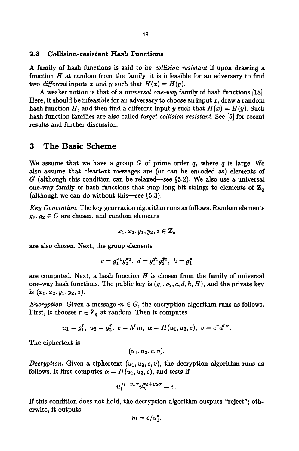## 2.3 Collision-resistant Hash Functions

A family of hash functions is said to be *collision resistant* if upon drawing a function  $H$  at random from the family, it is infeasible for an adversary to find two *different* inputs x and y such that  $H(x) = H(y)$ .

A weaker notion is that of a *universal one-way* family of hash functions [18]. Here, it should be infeasible for an adversary to choose an input  $x$ , draw a random hash function H, and then find a different input y such that  $H(x) = H(y)$ . Such hash function families are also called *target collision resistant.* See [5] for recent results and further discussion.

## **3 The Basic Scheme**

We assume that we have a group  $G$  of prime order  $q$ , where  $q$  is large. We also assume that cleartext messages are (or can be encoded as) elements of G (although this condition can be relaxed—see  $\S 5.2$ ). We also use a universal one-way family of hash functions that map long bit strings to elements of  $\mathbb{Z}_q$ (although we can do without this—see  $\S 5.3$ ).

*Key Generation.* The key generation algorithm runs as follows. Random elements  $g_1, g_2 \in G$  are chosen, and random elements

$$
x_1,x_2,y_1,y_2,z\in\mathbf{Z}_q
$$

axe also chosen. Next, the group elements

$$
c=g_1^{x_1}g_2^{x_2},\ d=g_1^{y_1}g_2^{y_2},\ h=g_1^z
$$

are computed. Next, a hash function  $H$  is chosen from the family of universal one-way hash functions. The public key is  $(g_1, g_2, c, d, h, H)$ , and the private key is  $(x_1, x_2, y_1, y_2, z)$ .

*Encryption.* Given a message  $m \in G$ , the encryption algorithm runs as follows. First, it chooses  $r \in \mathbb{Z}_q$  at random. Then it computes

$$
u_1 = g_1^r, u_2 = g_2^r, e = h^r m, \alpha = H(u_1, u_2, e), v = c^r d^{r\alpha}.
$$

The ciphertext is

$$
(u_1,u_2,e,v). \notag
$$

 $\overline{1}$ 

*Decryption.* Given a ciphertext  $(u_1, u_2, e, v)$ , the decryption algorithm runs as follows. It first computes  $\alpha = H(u_1, u_2, e)$ , and tests if

$$
u_1^{x_1+y_1\alpha}u_2^{x_2+y_2\alpha} = v.
$$

If this condition does not hold, the decryption algorithm outputs "reject"; otherwise, it outputs

$$
m=e/u_1^z.
$$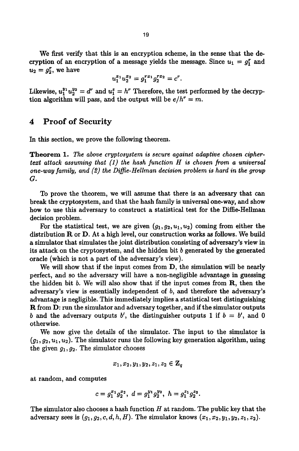We first verify that this is an encryption scheme, in the sense that the decryption of an encryption of a message yields the message. Since  $u_1 = g_1^r$  and  $u_2 = g_2^r$ , we have

$$
u_1^{x_1}u_2^{x_2}=g_1^{rx_1}g_2^{rx_2}=c^r.
$$

Likewise,  $u_1^{y_1} u_2^{y_2} = d^r$  and  $u_1^z = h^r$  Therefore, the test performed by the decryption algorithm will pass, and the output will be  $e/h^r = m$ .

## 4 Proof of Security

In this section, we prove the following theorem.

**Theorem** 1. *The above cryptosystem is secure against adaptive chosen ciphertext attack assuming that (1) the hash function H is chosen from a universal one-way family, and (2) the Diffie-Hellman decision problem is hard in the group G.* 

To prove the theorem, we will assume that there is an adversary that can break the cryptosystem, and that the hash family is universal one-way, and show how to use this adversary to construct a statistical test for the Diffie-Hellman decision problem.

For the statistical test, we are given  $(g_1, g_2, u_1, u_2)$  coming from either the distribution  $R$  or  $D$ . At a high level, our construction works as follows. We build a simulator that simulates the joint distribution consisting of adversary's view in its attack on the cryptosystem, and the hidden bit  $b$  generated by the generated oracle (which is not a part of the adversary's view).

We will show that if the input comes from D, the simulation will be nearly perfect, and so the adversary will have a non-negligible advantage in guessing the hidden bit b. We will also show that if the input comes from  $\mathbf{R}$ , then the adversary's view is essentially independent of b, and therefore the adversary's advantage is negligible. This immediately implies a statistical test distinguishing **R** from **D**: run the simulator and adversary together, and if the simulator outputs b and the adversary outputs b', the distinguisher outputs 1 if  $b = b'$ , and 0 otherwise.

We now give the details of the simulator. The input to the simulator is  $(g_1, g_2, u_1, u_2)$ . The simulator runs the following key generation algorithm, using the given  $g_1, g_2$ . The simulator chooses

$$
x_1,x_2,y_1,y_2,z_1,z_2\in\mathbf{Z}_q
$$

at random, and computes

$$
c = g_1^{x_1} g_2^{x_2}, d = g_1^{y_1} g_2^{y_2}, h = g_1^{z_1} g_2^{z_2}.
$$

The simulator also chooses a hash function  $H$  at random. The public key that the adversary sees is  $(g_1, g_2, c, d, h, H)$ . The simulator knows  $(x_1, x_2, y_1, y_2, z_1, z_2)$ .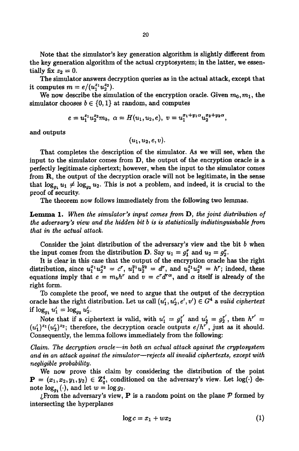The simulator answers decryption queries as in the actual attack, except that it computes  $m = e/(u_1^{z_1} u_2^{z_2}).$ 

We now describe the simulation of the encryption oracle. Given  $m_0, m_1$ , the simulator chooses  $b \in \{0, 1\}$  at random, and computes

$$
e=u_1^{z_1}u_2^{z_2}m_b, \ \alpha=H(u_1,u_2,e), \ v=u_1^{x_1+y_1\alpha}u_2^{x_2+y_2\alpha},
$$

and outputs

$$
(u_1, u_2, e, v).
$$

That completes the description of the simulator. As we will see, when the input to the simulator comes from D, the output of the encryption oracle is a perfectly legitimate ciphertext; however, when the input to the simulator comes from  $R$ , the output of the decryption oracle will not be legitimate, in the sense that  $\log_a u_1 \neq \log_a u_2$ . This is not a problem, and indeed, it is crucial to the proof of security.

The theorem now follows immediately from the following two lemmas.

Lemma 1. *When the simulator's input comes from D, the joint distribution of the adversary's view and the hidden bit b is is statistically indistinguishable from that in the actual attack.* 

Consider the joint distribution of the adversary's view and the bit  $b$  when the input comes from the distribution **D**. Say  $u_1 = g_1^r$  and  $u_2 = g_2^r$ .

It is clear in this case that the output of the encryption oracle has the right distribution, since  $u_1^{x_1} u_2^{x_2} = c^r$ ,  $u_1^{y_1} u_2^{y_2} = d^r$ , and  $u_1^{z_1} u_2^{z_2} = h^r$ ; indeed, these equations imply that  $e = m_b h^r$  and  $v = c^r d^{r\alpha}$ , and  $\alpha$  itself is already of the right form.

To complete the proof, we need to argue that the output of the decryption oracle has the right distribution. Let us call  $(u'_1, u'_2, e', v') \in G^4$  a *valid ciphertext* if  $\log_{g_1} u_1' = \log_{g_2} u_2'.$ 

Note that if a ciphertext is valid, with  $u'_1 = g_1^{r'}$  and  $u'_2 = g_2^{r'}$ , then  $h^{r'} =$  $(u'_1)^{z_1}(u'_2)^{z_2}$ ; therefore, the decryption oracle outputs  $e/h^{r'}$ , just as it should. Consequently, the lemma follows immediately from the following:

*Claim. The decryption oracle--in both an actual attack against the cryptosystem and in an attack against the simulator--rejects all invalid ciphertexts, except with negligible probability.* 

We now prove this claim by considering the distribution of the point  $P = (x_1, x_2, y_1, y_2) \in \mathbb{Z}_q^4$ , conditioned on the adversary's view. Let  $log(\cdot)$  denote  $log_{a_1}(\cdot)$ , and let  $w = log_{a_2}$ .

: From the adversary's view, P is a random point on the plane  $P$  formed by intersecting the hyperplanes

$$
\log c = x_1 + w x_2 \tag{1}
$$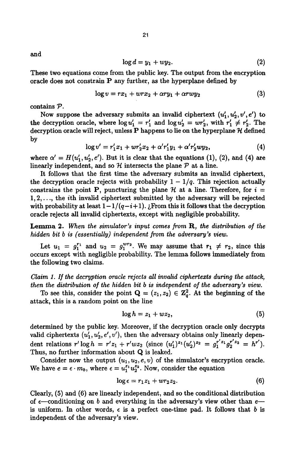and

$$
\log d = y_1 + w y_2. \tag{2}
$$

These two equations come from the public key. The output from the encryption oracle does not constrain  $P$  any further, as the hyperplane defined by

$$
\log v = rx_1 + wrx_2 + \alpha ry_1 + \alpha rwy_2 \tag{3}
$$

contains  $P$ .

Now suppose the adversary submits an invalid ciphertext  $(u'_1, u'_2, v', e')$  to the decryption oracle, where  $\log u_1' = r_1'$  and  $\log u_2' = wr_2'$ , with  $r_1' \neq r_2'$ . The decryption oracle will reject, unless P happens to lie on the hyperplane  ${\cal H}$  defined by

$$
\log v' = r_1' x_1 + w r_2' x_2 + \alpha' r_1' y_1 + \alpha' r_2' w y_2, \tag{4}
$$

where  $\alpha' = H(u_1', u_2', e')$ . But it is clear that the equations (1), (2), and (4) are linearly independent, and so  $\mathcal H$  intersects the plane  $\mathcal P$  at a line.

It follows that the first time the adversary submits an invalid ciphertext, the decryption oracle rejects with probability  $1 - 1/q$ . This rejection actually constrains the point P, puncturing the plane  $H$  at a line. Therefore, for  $i =$ 1, 2,..., the ith invalid ciphertext submitted by the adversary will be rejected with probability at least  $1 - 1/(q - i + 1)$ . Express that the decryption oracle rejects all invalid ciphertexts, except with negligible probability.

**Lemma 2.** When the simulator's input comes from **R**, the distribution of the *hidden bit b is (essentially) independent from the adversary's view.* 

Let  $u_1 = g_1^{r_1}$  and  $u_2 = g_1^{wr_2}$ . We may assume that  $r_1 \neq r_2$ , since this occurs except with negligible probability. The lemma follows immediately from the following two claims.

*Claim 1. If the decryption oracle rejects all invalid ciphertexts during the attack, then the distribution of the hidden bit b is independent of the adversary's view.* 

To see this, consider the point  $\mathbf{Q} = (z_1, z_2) \in \mathbf{Z}_a^2$ . At the beginning of the attack, this is a random point on the line

$$
\log h = z_1 + wz_2, \tag{5}
$$

determined by the public key. Moreover, if the decryption oracle only decrypts valid ciphertexts  $(u'_1, u'_2, e', v')$ , then the adversary obtains only linearly dependent relations  $r' \log h = r'z_1 + r'wz_2$  (since  $(u'_1)^{z_1}(u'_2)^{z_2} = g_1^{r'z_1}g_2^{r'z_2} = h^{r'}$ ). Thus, no further information about Q is leaked.

Consider now the output  $(u_1, u_2, e, v)$  of the simulator's encryption oracle. We have  $e = \epsilon \cdot m_b$ , where  $\epsilon = u_1^{z_1} u_2^{z_2}$ . Now, consider the equation

$$
\log \epsilon = r_1 z_1 + w r_2 z_2. \tag{6}
$$

Clearly, (5) and (6) are linearly independent, and so the conditional distribution of  $\epsilon$ —conditioning on b and everything in the adversary's view other than  $\epsilon$  is uniform. In other words,  $\epsilon$  is a perfect one-time pad. It follows that b is independent of the adversary's view.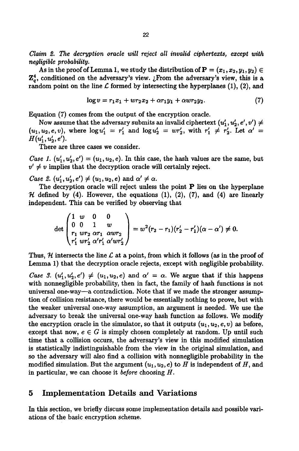*Claim 2. The decryption oracle will reject all invalid ciphertexts, except with negligible probability.* 

As in the proof of Lemma 1, we study the distribution of  $P = (x_1, x_2, y_1, y_2) \in$  $\mathbb{Z}_q^4$ , conditioned on the adversary's view. ¿From the adversary's view, this is a random point on the line  $\mathcal L$  formed by intersecting the hyperplanes (1), (2), and

$$
\log v = r_1 x_1 + w r_2 x_2 + \alpha r_1 y_1 + \alpha w r_2 y_2. \tag{7}
$$

Equation (7) comes from the output of the encryption oracle.

Now assume that the adversary submits an invalid ciphertext  $(u'_1, u'_2, e', v') \neq$  $(u_1,u_2,e,v)$ , where  $\log u'_1 = r'_1$  and  $\log u'_2 = wr'_2$ , with  $r'_1 \neq r'_2$ . Let  $\alpha' =$  $H(u'_1, u'_2, e').$ 

There are three cases we consider.

*Case 1.*  $(u'_1, u'_2, e') = (u_1, u_2, e)$ . In this case, the hash values are the same, but  $v' \neq v$  implies that the decryption oracle will certainly reject.

*Case 2.*  $(u'_1, u'_2, e') \neq (u_1, u_2, e)$  and  $\alpha' \neq \alpha$ .

The decryption oracle will reject unless the point P lies on the hyperplane  $\mathcal H$  defined by (4). However, the equations (1), (2), (7), and (4) are linearly independent. This can be verified by observing that

$$
\det\begin{pmatrix} 1 & w & 0 & 0 \\ 0 & 0 & 1 & w \\ r_1 & w r_2 & \alpha r_1 & \alpha w r_2 \\ r'_1 & w r'_2 & \alpha' r'_1 & \alpha' w r'_2 \end{pmatrix} = w^2 (r_2 - r_1) (r'_2 - r'_1) (\alpha - \alpha') \neq 0.
$$

Thus, H intersects the line L at a point, from which it follows (as in the proof of Lemma 1) that the decryption oracle rejects, except with negligible probability.

Case 3.  $(u'_1, u'_2, e') \neq (u_1, u_2, e)$  and  $\alpha' = \alpha$ . We argue that if this happens with nonnegligible probability, then in fact, the family of hash functions is not universal one-way~a contradiction. Note that if we made the stronger assumption of collision resistance, there would be essentially nothing to prove, but with the weaker universal one-way assumption, an argument is needed. We use the adversary to break the universal one-way hash function as follows. We modify the encryption oracle in the simulator, so that it outputs  $(u_1, u_2, e, v)$  as before, except that now,  $e \in G$  is simply chosen completely at random. Up until such time that a collision occurs, the adversary's view in this modified simulation is statistically indistinguishable from the view in the original simulation, and so the adversary will also find a collision with nonnegiigible probability in the modified simulation. But the argument  $(u_1, u_2, e)$  to H is independent of H, and in particular, we can choose it *before* choosing H.

## **5 Implementation Details and Variations**

In this section, we briefly discuss some implementation details and possible variations of the basic encryption scheme.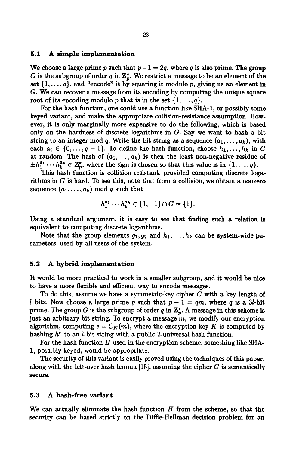#### 5.1 A simple implementation

We choose a large prime p such that  $p-1=2q$ , where q is also prime. The group G is the subgroup of order q in  $\mathbb{Z}_p^*$ . We restrict a message to be an element of the set  $\{1,\ldots,q\}$ , and "encode" it by squaring it modulo p, giving us an element in G. We can recover a message from its encoding by computing the unique square root of its encoding modulo p that is in the set  $\{1,\ldots,q\}$ .

For the hash function, one could use a function like SHA-1, or possibly some keyed variant, and make the appropriate collision-resistance assumption. However, it is only marginally more expensive to do the following, which is based only on the hardness of discrete logarithms in  $G$ . Say we want to hash a bit string to an integer mod q. Write the bit string as a sequence  $(a_1, \ldots, a_k)$ , with each  $a_i \in \{0, \ldots, q-1\}$ . To define the hash function, choose  $h_1, \ldots, h_k$  in G at random. The hash of  $(a_1, \ldots, a_k)$  is then the least non-negative residue of  $\pm h_1^{a_1} \cdots h_k^{a_k} \in \mathbb{Z}_p^*$ , where the sign is chosen so that this value is in  $\{1,\ldots,q\}.$ 

This hash function is collision resistant, provided computing discrete logarithms in  $G$  is hard. To see this, note that from a collision, we obtain a nonzero sequence  $(a_1, \ldots, a_k)$  mod q such that

$$
h_1^{a_1}\cdots h_k^{a_k} \in \{1,-1\} \cap G = \{1\}.
$$

Using a standard argument, it is easy to see that finding such a relation is equivalent to computing discrete logarithms.

Note that the group elements  $g_1, g_2$  and  $h_1, \ldots, h_k$  can be system-wide parameters, used by all users of the system.

### 5.2 A hybrid implementation

It would be more practical to work in a smaller subgroup, and it would be nice to have a more flexible and efficient way to encode messages.

To do this, assume we have a symmetric-key cipher  $C$  with a key length of l bits. Now choose a large prime p such that  $p - 1 = qm$ , where q is a 3l-bit prime. The group G is the subgroup of order q in  $\mathbb{Z}_p^*$ . A message in this scheme is just an arbitrary bit string. To encrypt a message  $m$ , we modify our encryption algorithm, computing  $e = C_K(m)$ , where the encryption key K is computed by hashing  $h^r$  to an *l*-bit string with a public 2-universal hash function.

For the hash function  $H$  used in the encryption scheme, something like SHA-1, possibly keyed, would be appropriate.

The security of this variant is easily proved using the techniques of this paper, along with the left-over hash lemma [15], assuming the cipher  $C$  is semantically secure.

#### **5.3 A** hash-free variant

We can actually eliminate the hash function  $H$  from the scheme, so that the security can be based strictly on the Diffie-Hellman decision problem for an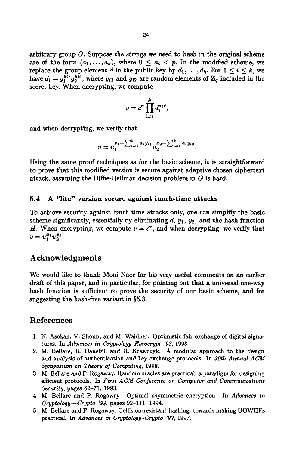arbitrary group  $G$ . Suppose the strings we need to hash in the original scheme are of the form  $(a_1, \ldots, a_k)$ , where  $0 \le a_i < p$ . In the modified scheme, we replace the group element d in the public key by  $d_1, \ldots, d_k$ . For  $1 \leq i \leq k$ , we have  $d_i = g_1^{yi_1} g_2^{yi_2}$ , where  $y_{i1}$  and  $y_{i2}$  are random elements of  $\mathbb{Z}_q$  included in the secret key. When encrypting, we compute

$$
v = c^r \prod_{i=1}^k d_i^{a_i r},
$$

and when decrypting, we verify that

$$
v = u_1^{x_1 + \sum_{i=1}^k a_i y_{i1}} u_2^{x_2 + \sum_{i=1}^k a_i y_{i2}}.
$$

Using the same proof techniques as for the basic scheme, it is straightforward to prove that this modified version is secure against adaptive chosen ciphertext attack, assuming the Diffie-Hellman decision problem in G is hard.

### **5.4 A "lite" version secure against lunch-time attacks**

To achieve security against lunch-time attacks only, one can simplify the basic scheme significantly, essentially by eliminating  $d$ ,  $y_1$ ,  $y_2$ , and the hash function H. When encrypting, we compute  $v = c^r$ , and when decrypting, we verify that  $v = u_1^{x_1} u_2^{x_2}.$ 

# **Acknowledgments**

We would like to thank Moni Naor for his very useful comments on an earlier draft of this paper, and in particular, for pointing out that a universal one-way hash function is sufficient to prove the security of our basic scheme, and for suggesting the hash-free variant in  $§5.3$ .

## **References**

- 1. N. Asokan, V. Shoup, and M. Waidner. Optimistic fair exchange of digital signatures. In *Advances in Cryptology-Eurocrypt '98,* 1998.
- 2. M. Bellare, R. Canetti, and H. Krawczyk. A modular approach to the design and analysis of authentication and key exchange protocols. In *30th Annual ACM Symposium on Theory of Computing,* 1998.
- 3. M. Bellare and P. Rogaway. Random oracles are practical: a paradigm for designing efficient protocols. In *First A CM Conference on Computer and Communications Security,* pages 62-73, 1993.
- 4. M. Bellare and P. Rogaway. Optimal asymmetric encryption. In *Advances in Cryptology--Crypto '94,* pages 92-111, 1994.
- 5. M. Bellare and P. Rogaway. Collision-resistant hashing: towards making UOWHFs practical. In *Advances in Cryptology-Crypto '97, 1997.*